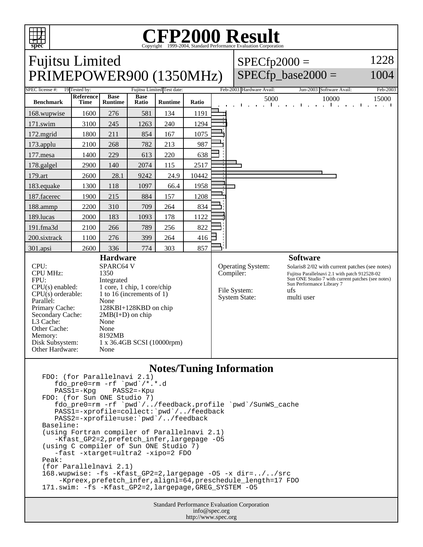

Other Hardware: None

## **CFP2000 Result** Copyright ©1999-2004, Standard

Fujitsu Limited PRIMEPOWER900 (1350MHz)  $SPECfp2000 =$ SPECfp base2000  $=$ 1228 1004 SPEC license #: 19 Tested by: Fujitsu Limited Test date: Feb-2003 Hardware Avail: Jun-2003 Software Avail: Feb-2003 **Benchmark Reference Time Base Runtime Base Runtime Ratio Ratio Runtime Ratio Runtime Ratio 15000** 15000 168.wupwise 1600 276 581 134 1191 171.swim | 3100 | 245 | 1263 | 240 | 1294 172.mgrid | 1800 | 211 | 854 | 167 | 1075 173.applu | 2100 | 268 | 782 | 213 | 987 177.mesa | 1400 | 229 | 613 | 220 | 638 178.galgel | 2900 | 140 | 2074 | 115 | 2517 179.art 2600 28.1 9242 24.9 10442 183.equake 1300 118 1097 66.4 1958 187.facerec | 1900 | 215 | 884 | 157 | 1208 188.ammp | 2200 | 310 | 709 | 264 | 834 189.lucas | 2000 | 183 | 1093 | 178 | 1122 191.fma3d 2100 266 789 256 822 200.sixtrack 1100 276 399 264 416 301.apsi | 2600 | 336 | 774 | 303 | 857 **Hardware** CPU: SPARC64 V<br>CPU MHz: 1350 CPU MHz: FPU: Integrated  $CPU(s)$  enabled:  $1$  core, 1 chip, 1 core/chip<br>CPU(s) orderable:  $1$  to 16 (increments of 1) 1 to 16 (increments of 1) Parallel: None<br>Primary Cache: 128K 128KBI+128KBD on chip Secondary Cache:  $2MB(I+D)$  on chip L3 Cache: None Other Cache: None<br>Memory: 8192MB Memory: Disk Subsystem: 1 x 36.4GB SCSI (10000rpm) **Software** Operating System: Solaris8 2/02 with current patches (see notes) Compiler: Fujitsu Parallelnavi 2.1 with patch 912528-02 Sun ONE Studio 7 with current patches (see notes) Sun Performance Library 7 File System: ufs<br>System State: multi user System State:

## **Notes/Tuning Information**

```
FDO: (for Parallelnavi 2.1)
   fdo_pre0=rm -rf `pwd`/*.*.d<br>PASS1=-Kpg PASS2=-Kpu
   PASS1=-KpgFDO: (for Sun ONE Studio 7)
 fdo_pre0=rm -rf `pwd`/../feedback.profile `pwd`/SunWS_cache
 PASS1=-xprofile=collect:`pwd`/../feedback
 PASS2=-xprofile=use:`pwd`/../feedback
Baseline:
(using Fortran compiler of Parallelnavi 2.1)
   -Kfast GP2=2, prefetch infer, largepage -05
(using C compiler of Sun ONE Studio 7)
    -fast -xtarget=ultra2 -xipo=2 FDO
Peak:
(for Parallelnavi 2.1)
168.wupwise: -fs -Kfast_GP2=2,largepage -O5 -x dir=../../src 
     -Kpreex,prefetch_infer,alignl=64,preschedule_length=17 FDO
171.swim: -fs -Kfast_GP2=2,largepage,GREG_SYSTEM -O5
```
Standard Performance Evaluation Corporation info@spec.org http://www.spec.org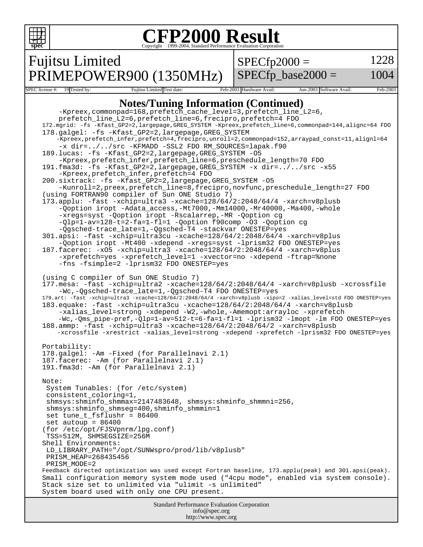

#### **CFP2000 Result** Copyright 1999-2004, Standard Performance Evaluation Corporation

Fujitsu Limited

PRIMEPOWER900 (1350MHz)

 $SPECfp2000 =$ 

1228

SPECfp base2000  $=$ 

1004

SPEC license #: 19 Tested by: Fujitsu Limited Test date: Feb-2003 Hardware Avail: Jun-2003 Software Avail: Feb-2003 **Notes/Tuning Information (Continued)** -Kpreex,commonpad=168,prefetch\_cache\_level=3,prefetch\_line\_L2=6, prefetch\_line\_L2=6,prefetch\_line=6,frecipro,prefetch=4 FDO 172.mgrid: -fs -Kfast\_GP2=2,largepage,GREG\_SYSTEM -Kpreex,prefetch\_line=6,commonpad=144,alignc=64 FDO 178.galgel: -fs -Kfast\_GP2=2,largepage,GREG\_SYSTEM -Kpreex,prefetch\_infer,prefetch=4,frecipro,unroll=2,commonpad=152,arraypad\_const=11,alignl=64 -x dir=../../src -KFMADD -SSL2 FDO RM\_SOURCES=lapak.f90 189.lucas: -fs -Kfast\_GP2=2,largepage,GREG\_SYSTEM -O5 -Kpreex,prefetch\_infer,prefetch\_line=6,preschedule\_length=70 FDO 191.fma3d: -fs -Kfast\_GP2=2,largepage,GREG\_SYSTEM -x dir=../../src -x55 -Kpreex,prefetch\_infer,prefetch=4 FDO 200.sixtrack: -fs -Kfast\_GP2=2,largepage,GREG\_SYSTEM -O5 -Kunroll=2,preex,prefetch\_line=8,frecipro,novfunc,preschedule\_length=27 FDO (using FORTRAN90 compiler of Sun ONE Studio 7) 173.applu: -fast -xchip=ultra3 -xcache=128/64/2:2048/64/4 -xarch=v8plusb -Qoption iropt -Adata\_access,-Mt7000,-Mm14000,-Mr40000,-Ma400,-whole -xregs=syst -Qoption iropt -Rscalarrep,-MR -Qoption cg -Qlp=1-av=128-t=2-fa=1-fl=1 -Qoption f90comp -O3 -Qoption cg -Qgsched-trace\_late=1,-Qgsched-T4 -stackvar ONESTEP=yes 301.apsi: -fast -xchip=ultra3cu -xcache=128/64/2:2048/64/4 -xarch=v8plus -Qoption iropt -Mt400 -xdepend -xregs=syst -lprism32 FDO ONESTEP=yes 187.facerec: -xO5 -xchip=ultra3 -xcache=128/64/2:2048/64/4 -xarch=v8plus -xprefetch=yes -xprefetch\_level=1 -xvector=no -xdepend -ftrap=%none -fns -fsimple=2 -lprism32 FDO ONESTEP=yes (using C compiler of Sun ONE Studio 7) 177.mesa: -fast -xchip=ultra2 -xcache=128/64/2:2048/64/4 -xarch=v8plusb -xcrossfile -Wc,-Qgsched-trace\_late=1,-Qgsched-T4 FDO ONESTEP=yes 179.art: -fast -xchip=ultra3 -xcache=128/64/2:2048/64/4 -xarch=v8plusb -xipo=2 -xalias\_level=std FDO ONESTEP=yes 183.equake: -fast -xchip=ultra3cu -xcache=128/64/2:2048/64/4 -xarch=v8plusb -xalias\_level=strong -xdepend -W2,-whole,-Amemopt:arrayloc -xprefetch -Wc,-Qms\_pipe-pref,-Qlp=1-av=512-t=6-fa=1-fl=1 -lprism32 -lmopt -lm FDO ONESTEP=yes 188.ammp: -fast -xchip=ultra3 -xcache=128/64/2:2048/64/2 -xarch=v8plusb -xcrossfile -xrestrict -xalias\_level=strong -xdepend -xprefetch -lprism32 FDO ONESTEP=yes Portability: 178.galgel: -Am -Fixed (for Parallelnavi 2.1) 187.facerec: -Am (for Parallelnavi 2.1) 191.fma3d: -Am (for Parallelnavi 2.1) Note: System Tunables: (for /etc/system) consistent\_coloring=1, shmsys:shminfo\_shmmax=2147483648, shmsys:shminfo\_shmmni=256, shmsys:shminfo\_shmseg=400,shminfo\_shmmin=1 set tune\_t\_fsflushr = 86400 set autoup  $= 86400$ (for /etc/opt/FJSVpnrm/lpg.conf) TSS=512M, SHMSEGSIZE=256M Shell Environments: LD\_LIBRARY\_PATH="/opt/SUNWspro/prod/lib/v8plusb" PRISM\_HEAP=268435456 PRISM\_MODE=2 Feedback directed optimization was used except Fortran baseline, 173.applu(peak) and 301.apsi(peak). Small configuration memory system mode used ("4cpu mode", enabled via system console). Stack size set to unlimited via "ulimit -s unlimited" System board used with only one CPU present.

> Standard Performance Evaluation Corporation info@spec.org http://www.spec.org